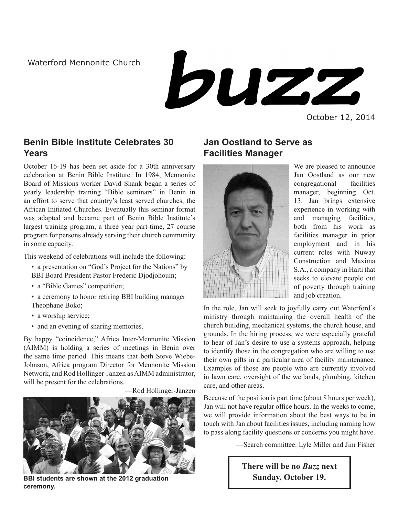Waterford Mennonite Church

buzz

October 12, 2014

# **Benin Bible Institute Celebrates 30 Years**

October 16-19 has been set aside for a 30th anniversary celebration at Benin Bible Institute. In 1984, Mennonite Board of Missions worker David Shank began a series of yearly leadership training "Bible seminars" in Benin in an effort to serve that country's least served churches, the African Initiated Churches. Eventually this seminar format was adapted and became part of Benin Bible Institute's largest training program, a three year part-time, 27 course program for persons already serving their church community in some capacity.

This weekend of celebrations will include the following:

- a presentation on "God's Project for the Nations" by BBI Board President Pastor Frederic Djodjohouin;
- a "Bible Games" competition;
- a ceremony to honor retiring BBI building manager Theophane Boko;
- a worship service;
- and an evening of sharing memories.

By happy "coincidence," Africa Inter-Mennonite Mission (AIMM) is holding a series of meetings in Benin over the same time period. This means that both Steve Wiebe-Johnson, Africa program Director for Mennonite Mission Network, and Rod Hollinger-Janzen as AIMM administrator, will be present for the celebrations.

—Rod Hollinger-Janzen



**BBI students are shown at the 2012 graduation Sunday, October 19. ceremony.**

# **Jan Oostland to Serve as Facilities Manager**



We are pleased to announce Jan Oostland as our new congregational facilities manager, beginning Oct. 13. Jan brings extensive experience in working with and managing facilities, both from his work as facilities manager in prior employment and in his current roles with Nuway Construction and Maxima S.A., a company in Haiti that seeks to elevate people out of poverty through training and job creation.

In the role, Jan will seek to joyfully carry out Waterford's ministry through maintaining the overall health of the church building, mechanical systems, the church house, and grounds. In the hiring process, we were especially grateful to hear of Jan's desire to use a systems approach, helping to identify those in the congregation who are willing to use their own gifts in a particular area of facility maintenance. Examples of those are people who are currently involved in lawn care, oversight of the wetlands, plumbing, kitchen care, and other areas.

Because of the position is part time (about 8 hours per week), Jan will not have regular office hours. In the weeks to come, we will provide information about the best ways to be in touch with Jan about facilities issues, including naming how to pass along facility questions or concerns you might have.

—Search committee: Lyle Miller and Jim Fisher

**There will be no** *Buzz* **next**